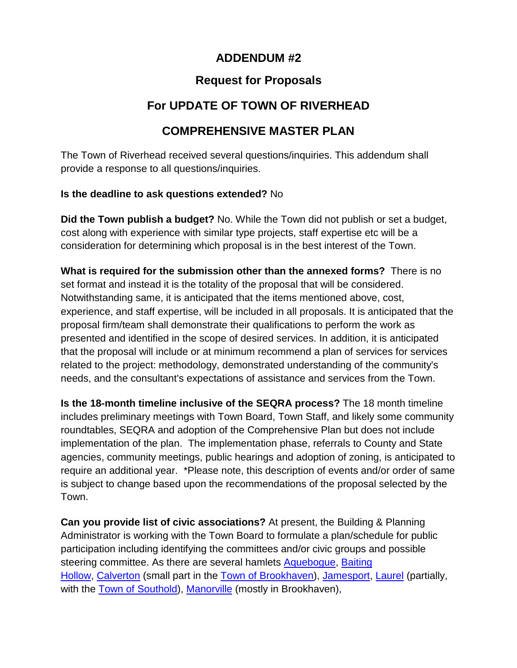## **ADDENDUM #2**

## **Request for Proposals**

# **For UPDATE OF TOWN OF RIVERHEAD**

## **COMPREHENSIVE MASTER PLAN**

The Town of Riverhead received several questions/inquiries. This addendum shall provide a response to all questions/inquiries.

#### **Is the deadline to ask questions extended?** No

**Did the Town publish a budget?** No. While the Town did not publish or set a budget, cost along with experience with similar type projects, staff expertise etc will be a consideration for determining which proposal is in the best interest of the Town.

**What is required for the submission other than the annexed forms?** There is no set format and instead it is the totality of the proposal that will be considered. Notwithstanding same, it is anticipated that the items mentioned above, cost, experience, and staff expertise, will be included in all proposals. It is anticipated that the proposal firm/team shall demonstrate their qualifications to perform the work as presented and identified in the scope of desired services. In addition, it is anticipated that the proposal will include or at minimum recommend a plan of services for services related to the project: methodology, demonstrated understanding of the community's needs, and the consultant's expectations of assistance and services from the Town.

**Is the 18-month timeline inclusive of the SEQRA process?** The 18 month timeline includes preliminary meetings with Town Board, Town Staff, and likely some community roundtables, SEQRA and adoption of the Comprehensive Plan but does not include implementation of the plan. The implementation phase, referrals to County and State agencies, community meetings, public hearings and adoption of zoning, is anticipated to require an additional year. \*Please note, this description of events and/or order of same is subject to change based upon the recommendations of the proposal selected by the Town.

**Can you provide list of civic associations?** At present, the Building & Planning Administrator is working with the Town Board to formulate a plan/schedule for public participation including identifying the committees and/or civic groups and possible steering committee. As there are several hamlets [Aquebogue,](https://en.wikipedia.org/wiki/Aquebogue,_New_York) [Baiting](https://en.wikipedia.org/wiki/Baiting_Hollow,_New_York)  [Hollow,](https://en.wikipedia.org/wiki/Baiting_Hollow,_New_York) [Calverton](https://en.wikipedia.org/wiki/Calverton,_New_York) (small part in the [Town of Brookhaven\)](https://en.wikipedia.org/wiki/Brookhaven,_New_York), [Jamesport,](https://en.wikipedia.org/wiki/Jamesport,_New_York) [Laurel](https://en.wikipedia.org/wiki/Laurel,_New_York) (partially, with the [Town of Southold\)](https://en.wikipedia.org/wiki/Southold_(town),_New_York), [Manorville](https://en.wikipedia.org/wiki/Manorville,_New_York) (mostly in Brookhaven),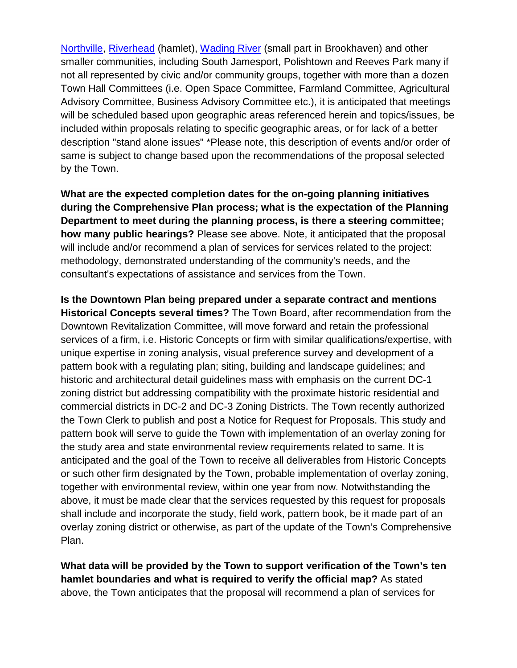[Northville,](https://en.wikipedia.org/wiki/Northville,_Suffolk_County,_New_York) [Riverhead](https://en.wikipedia.org/wiki/Riverhead_(CDP),_New_York) (hamlet), [Wading River](https://en.wikipedia.org/wiki/Wading_River,_New_York) (small part in Brookhaven) and other smaller communities, including South Jamesport, Polishtown and Reeves Park many if not all represented by civic and/or community groups, together with more than a dozen Town Hall Committees (i.e. Open Space Committee, Farmland Committee, Agricultural Advisory Committee, Business Advisory Committee etc.), it is anticipated that meetings will be scheduled based upon geographic areas referenced herein and topics/issues, be included within proposals relating to specific geographic areas, or for lack of a better description "stand alone issues" \*Please note, this description of events and/or order of same is subject to change based upon the recommendations of the proposal selected by the Town.

**What are the expected completion dates for the on-going planning initiatives during the Comprehensive Plan process; what is the expectation of the Planning Department to meet during the planning process, is there a steering committee; how many public hearings?** Please see above. Note, it anticipated that the proposal will include and/or recommend a plan of services for services related to the project: methodology, demonstrated understanding of the community's needs, and the consultant's expectations of assistance and services from the Town.

**Is the Downtown Plan being prepared under a separate contract and mentions Historical Concepts several times?** The Town Board, after recommendation from the Downtown Revitalization Committee, will move forward and retain the professional services of a firm, i.e. Historic Concepts or firm with similar qualifications/expertise, with unique expertise in zoning analysis, visual preference survey and development of a pattern book with a regulating plan; siting, building and landscape guidelines; and historic and architectural detail guidelines mass with emphasis on the current DC-1 zoning district but addressing compatibility with the proximate historic residential and commercial districts in DC-2 and DC-3 Zoning Districts. The Town recently authorized the Town Clerk to publish and post a Notice for Request for Proposals. This study and pattern book will serve to guide the Town with implementation of an overlay zoning for the study area and state environmental review requirements related to same. It is anticipated and the goal of the Town to receive all deliverables from Historic Concepts or such other firm designated by the Town, probable implementation of overlay zoning, together with environmental review, within one year from now. Notwithstanding the above, it must be made clear that the services requested by this request for proposals shall include and incorporate the study, field work, pattern book, be it made part of an overlay zoning district or otherwise, as part of the update of the Town's Comprehensive Plan.

**What data will be provided by the Town to support verification of the Town's ten hamlet boundaries and what is required to verify the official map?** As stated above, the Town anticipates that the proposal will recommend a plan of services for